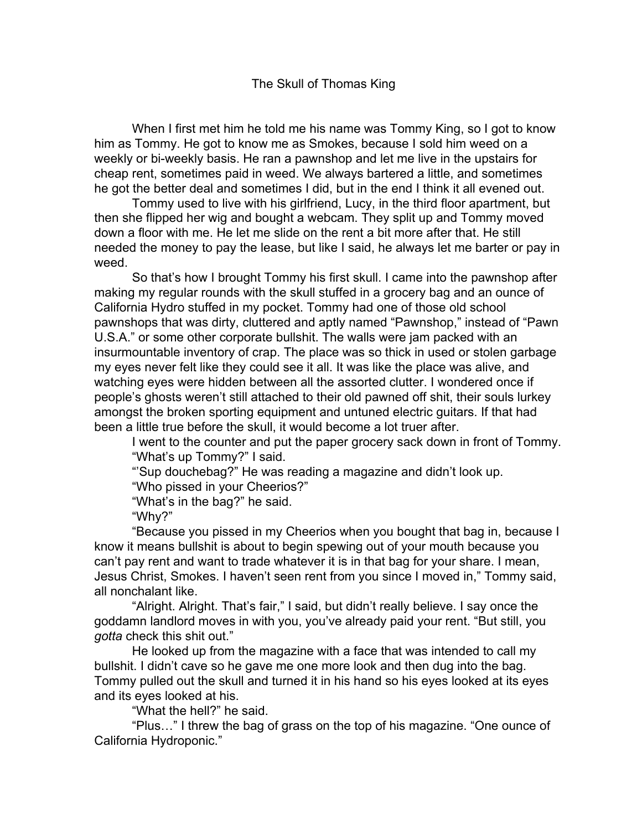When I first met him he told me his name was Tommy King, so I got to know him as Tommy. He got to know me as Smokes, because I sold him weed on a weekly or bi-weekly basis. He ran a pawnshop and let me live in the upstairs for cheap rent, sometimes paid in weed. We always bartered a little, and sometimes he got the better deal and sometimes I did, but in the end I think it all evened out.

Tommy used to live with his girlfriend, Lucy, in the third floor apartment, but then she flipped her wig and bought a webcam. They split up and Tommy moved down a floor with me. He let me slide on the rent a bit more after that. He still needed the money to pay the lease, but like I said, he always let me barter or pay in weed.

So that's how I brought Tommy his first skull. I came into the pawnshop after making my regular rounds with the skull stuffed in a grocery bag and an ounce of California Hydro stuffed in my pocket. Tommy had one of those old school pawnshops that was dirty, cluttered and aptly named "Pawnshop," instead of "Pawn U.S.A." or some other corporate bullshit. The walls were jam packed with an insurmountable inventory of crap. The place was so thick in used or stolen garbage my eyes never felt like they could see it all. It was like the place was alive, and watching eyes were hidden between all the assorted clutter. I wondered once if people's ghosts weren't still attached to their old pawned off shit, their souls lurkey amongst the broken sporting equipment and untuned electric guitars. If that had been a little true before the skull, it would become a lot truer after.

I went to the counter and put the paper grocery sack down in front of Tommy. "What's up Tommy?" I said.

"'Sup douchebag?" He was reading a magazine and didn't look up.

"Who pissed in your Cheerios?"

"What's in the bag?" he said.

"Why?"

"Because you pissed in my Cheerios when you bought that bag in, because I know it means bullshit is about to begin spewing out of your mouth because you can't pay rent and want to trade whatever it is in that bag for your share. I mean, Jesus Christ, Smokes. I haven't seen rent from you since I moved in," Tommy said, all nonchalant like.

"Alright. Alright. That's fair," I said, but didn't really believe. I say once the goddamn landlord moves in with you, you've already paid your rent. "But still, you *gotta* check this shit out."

He looked up from the magazine with a face that was intended to call my bullshit. I didn't cave so he gave me one more look and then dug into the bag. Tommy pulled out the skull and turned it in his hand so his eyes looked at its eyes and its eyes looked at his.

"What the hell?" he said.

"Plus…" I threw the bag of grass on the top of his magazine. "One ounce of California Hydroponic."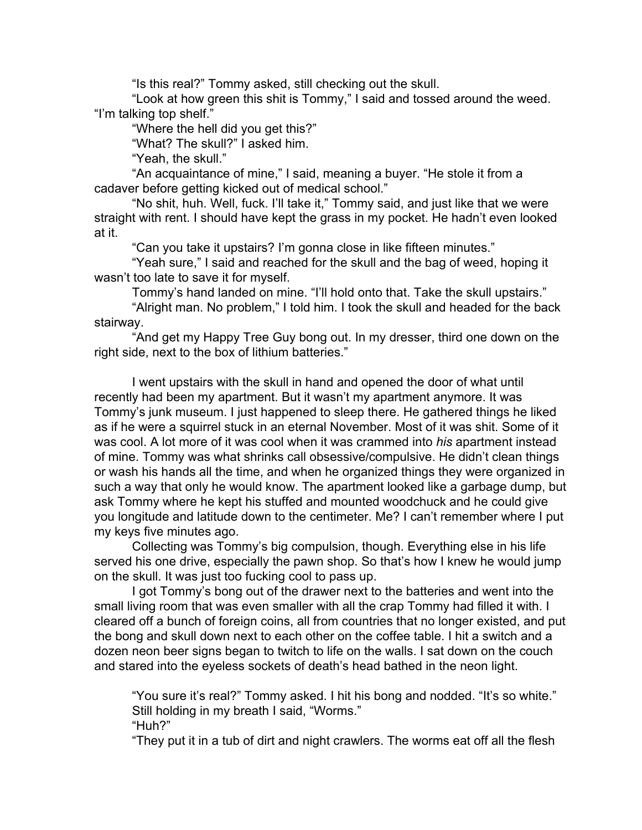"Is this real?" Tommy asked, still checking out the skull.

"Look at how green this shit is Tommy," I said and tossed around the weed. "I'm talking top shelf."

"Where the hell did you get this?"

"What? The skull?" I asked him.

"Yeah, the skull."

"An acquaintance of mine," I said, meaning a buyer. "He stole it from a cadaver before getting kicked out of medical school."

"No shit, huh. Well, fuck. I'll take it," Tommy said, and just like that we were straight with rent. I should have kept the grass in my pocket. He hadn't even looked at it.

"Can you take it upstairs? I'm gonna close in like fifteen minutes."

"Yeah sure," I said and reached for the skull and the bag of weed, hoping it wasn't too late to save it for myself.

Tommy's hand landed on mine. "I'll hold onto that. Take the skull upstairs."

"Alright man. No problem," I told him. I took the skull and headed for the back stairway.

"And get my Happy Tree Guy bong out. In my dresser, third one down on the right side, next to the box of lithium batteries."

I went upstairs with the skull in hand and opened the door of what until recently had been my apartment. But it wasn't my apartment anymore. It was Tommy's junk museum. I just happened to sleep there. He gathered things he liked as if he were a squirrel stuck in an eternal November. Most of it was shit. Some of it was cool. A lot more of it was cool when it was crammed into *his* apartment instead of mine. Tommy was what shrinks call obsessive/compulsive. He didn't clean things or wash his hands all the time, and when he organized things they were organized in such a way that only he would know. The apartment looked like a garbage dump, but ask Tommy where he kept his stuffed and mounted woodchuck and he could give you longitude and latitude down to the centimeter. Me? I can't remember where I put my keys five minutes ago.

Collecting was Tommy's big compulsion, though. Everything else in his life served his one drive, especially the pawn shop. So that's how I knew he would jump on the skull. It was just too fucking cool to pass up.

I got Tommy's bong out of the drawer next to the batteries and went into the small living room that was even smaller with all the crap Tommy had filled it with. I cleared off a bunch of foreign coins, all from countries that no longer existed, and put the bong and skull down next to each other on the coffee table. I hit a switch and a dozen neon beer signs began to twitch to life on the walls. I sat down on the couch and stared into the eyeless sockets of death's head bathed in the neon light.

"You sure it's real?" Tommy asked. I hit his bong and nodded. "It's so white." Still holding in my breath I said, "Worms." "Huh?"

"They put it in a tub of dirt and night crawlers. The worms eat off all the flesh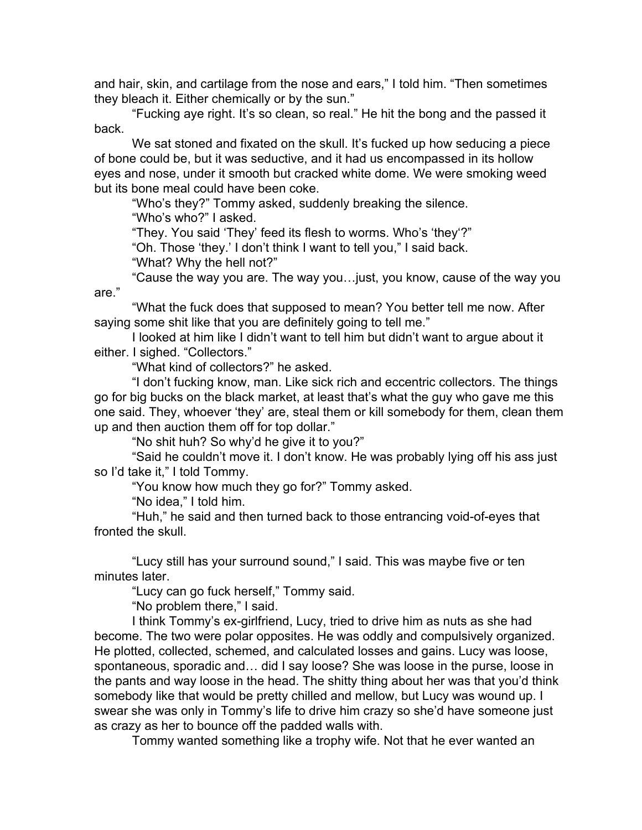and hair, skin, and cartilage from the nose and ears," I told him. "Then sometimes they bleach it. Either chemically or by the sun."

"Fucking aye right. It's so clean, so real." He hit the bong and the passed it back.

We sat stoned and fixated on the skull. It's fucked up how seducing a piece of bone could be, but it was seductive, and it had us encompassed in its hollow eyes and nose, under it smooth but cracked white dome. We were smoking weed but its bone meal could have been coke.

"Who's they?" Tommy asked, suddenly breaking the silence. "Who's who?" I asked.

"They. You said 'They' feed its flesh to worms. Who's 'they'?"

"Oh. Those 'they.' I don't think I want to tell you," I said back.

"What? Why the hell not?"

"Cause the way you are. The way you…just, you know, cause of the way you are."

"What the fuck does that supposed to mean? You better tell me now. After saying some shit like that you are definitely going to tell me."

I looked at him like I didn't want to tell him but didn't want to argue about it either. I sighed. "Collectors."

"What kind of collectors?" he asked.

"I don't fucking know, man. Like sick rich and eccentric collectors. The things go for big bucks on the black market, at least that's what the guy who gave me this one said. They, whoever 'they' are, steal them or kill somebody for them, clean them up and then auction them off for top dollar."

"No shit huh? So why'd he give it to you?"

"Said he couldn't move it. I don't know. He was probably lying off his ass just so I'd take it," I told Tommy.

"You know how much they go for?" Tommy asked.

"No idea," I told him.

"Huh," he said and then turned back to those entrancing void-of-eyes that fronted the skull.

"Lucy still has your surround sound," I said. This was maybe five or ten minutes later.

"Lucy can go fuck herself," Tommy said.

"No problem there," I said.

I think Tommy's ex-girlfriend, Lucy, tried to drive him as nuts as she had become. The two were polar opposites. He was oddly and compulsively organized. He plotted, collected, schemed, and calculated losses and gains. Lucy was loose, spontaneous, sporadic and… did I say loose? She was loose in the purse, loose in the pants and way loose in the head. The shitty thing about her was that you'd think somebody like that would be pretty chilled and mellow, but Lucy was wound up. I swear she was only in Tommy's life to drive him crazy so she'd have someone just as crazy as her to bounce off the padded walls with.

Tommy wanted something like a trophy wife. Not that he ever wanted an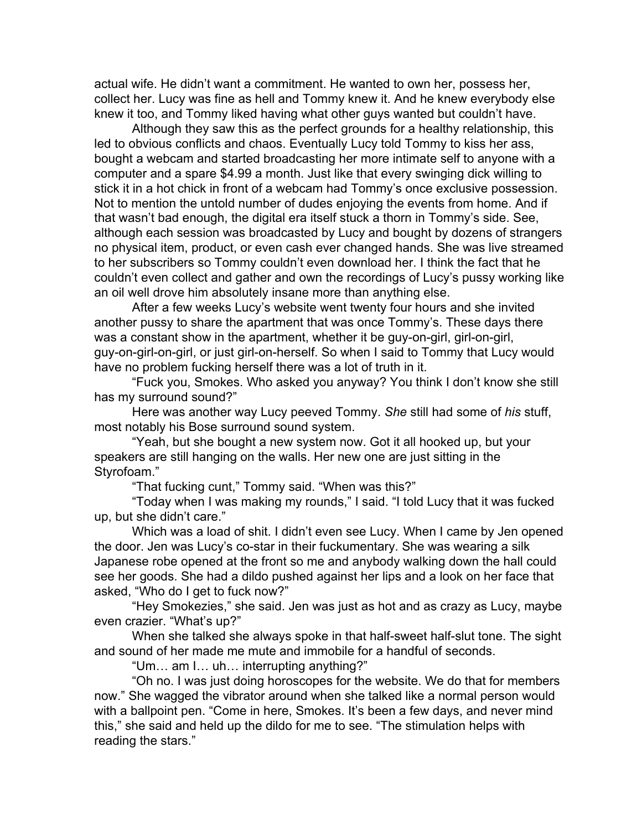actual wife. He didn't want a commitment. He wanted to own her, possess her, collect her. Lucy was fine as hell and Tommy knew it. And he knew everybody else knew it too, and Tommy liked having what other guys wanted but couldn't have.

Although they saw this as the perfect grounds for a healthy relationship, this led to obvious conflicts and chaos. Eventually Lucy told Tommy to kiss her ass, bought a webcam and started broadcasting her more intimate self to anyone with a computer and a spare \$4.99 a month. Just like that every swinging dick willing to stick it in a hot chick in front of a webcam had Tommy's once exclusive possession. Not to mention the untold number of dudes enjoying the events from home. And if that wasn't bad enough, the digital era itself stuck a thorn in Tommy's side. See, although each session was broadcasted by Lucy and bought by dozens of strangers no physical item, product, or even cash ever changed hands. She was live streamed to her subscribers so Tommy couldn't even download her. I think the fact that he couldn't even collect and gather and own the recordings of Lucy's pussy working like an oil well drove him absolutely insane more than anything else.

After a few weeks Lucy's website went twenty four hours and she invited another pussy to share the apartment that was once Tommy's. These days there was a constant show in the apartment, whether it be guy-on-girl, girl-on-girl, guy-on-girl-on-girl, or just girl-on-herself. So when I said to Tommy that Lucy would have no problem fucking herself there was a lot of truth in it.

"Fuck you, Smokes. Who asked you anyway? You think I don't know she still has my surround sound?"

Here was another way Lucy peeved Tommy. *She* still had some of *his* stuff, most notably his Bose surround sound system.

"Yeah, but she bought a new system now. Got it all hooked up, but your speakers are still hanging on the walls. Her new one are just sitting in the Styrofoam."

"That fucking cunt," Tommy said. "When was this?"

"Today when I was making my rounds," I said. "I told Lucy that it was fucked up, but she didn't care."

Which was a load of shit. I didn't even see Lucy. When I came by Jen opened the door. Jen was Lucy's co-star in their fuckumentary. She was wearing a silk Japanese robe opened at the front so me and anybody walking down the hall could see her goods. She had a dildo pushed against her lips and a look on her face that asked, "Who do I get to fuck now?"

"Hey Smokezies," she said. Jen was just as hot and as crazy as Lucy, maybe even crazier. "What's up?"

When she talked she always spoke in that half-sweet half-slut tone. The sight and sound of her made me mute and immobile for a handful of seconds.

"Um… am I… uh… interrupting anything?"

"Oh no. I was just doing horoscopes for the website. We do that for members now." She wagged the vibrator around when she talked like a normal person would with a ballpoint pen. "Come in here, Smokes. It's been a few days, and never mind this," she said and held up the dildo for me to see. "The stimulation helps with reading the stars."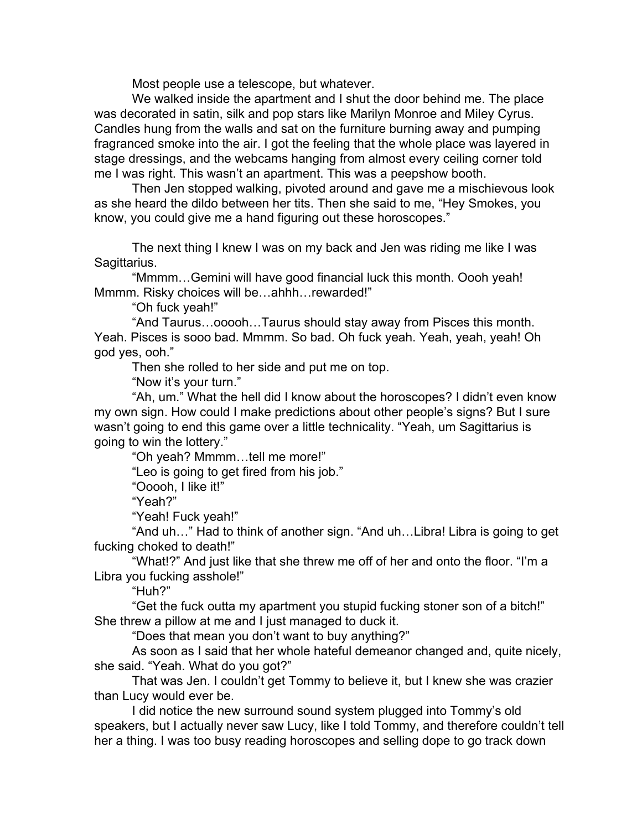Most people use a telescope, but whatever.

We walked inside the apartment and I shut the door behind me. The place was decorated in satin, silk and pop stars like Marilyn Monroe and Miley Cyrus. Candles hung from the walls and sat on the furniture burning away and pumping fragranced smoke into the air. I got the feeling that the whole place was layered in stage dressings, and the webcams hanging from almost every ceiling corner told me I was right. This wasn't an apartment. This was a peepshow booth.

Then Jen stopped walking, pivoted around and gave me a mischievous look as she heard the dildo between her tits. Then she said to me, "Hey Smokes, you know, you could give me a hand figuring out these horoscopes."

The next thing I knew I was on my back and Jen was riding me like I was Sagittarius.

"Mmmm…Gemini will have good financial luck this month. Oooh yeah! Mmmm. Risky choices will be…ahhh…rewarded!"

"Oh fuck yeah!"

"And Taurus…ooooh…Taurus should stay away from Pisces this month. Yeah. Pisces is sooo bad. Mmmm. So bad. Oh fuck yeah. Yeah, yeah, yeah! Oh god yes, ooh."

Then she rolled to her side and put me on top.

"Now it's your turn."

"Ah, um." What the hell did I know about the horoscopes? I didn't even know my own sign. How could I make predictions about other people's signs? But I sure wasn't going to end this game over a little technicality. "Yeah, um Sagittarius is going to win the lottery."

"Oh yeah? Mmmm…tell me more!"

"Leo is going to get fired from his job."

"Ooooh, I like it!"

"Yeah?"

"Yeah! Fuck yeah!"

"And uh…" Had to think of another sign. "And uh…Libra! Libra is going to get fucking choked to death!"

"What!?" And just like that she threw me off of her and onto the floor. "I'm a Libra you fucking asshole!"

"Huh?"

"Get the fuck outta my apartment you stupid fucking stoner son of a bitch!" She threw a pillow at me and I just managed to duck it.

"Does that mean you don't want to buy anything?"

As soon as I said that her whole hateful demeanor changed and, quite nicely, she said. "Yeah. What do you got?"

That was Jen. I couldn't get Tommy to believe it, but I knew she was crazier than Lucy would ever be.

I did notice the new surround sound system plugged into Tommy's old speakers, but I actually never saw Lucy, like I told Tommy, and therefore couldn't tell her a thing. I was too busy reading horoscopes and selling dope to go track down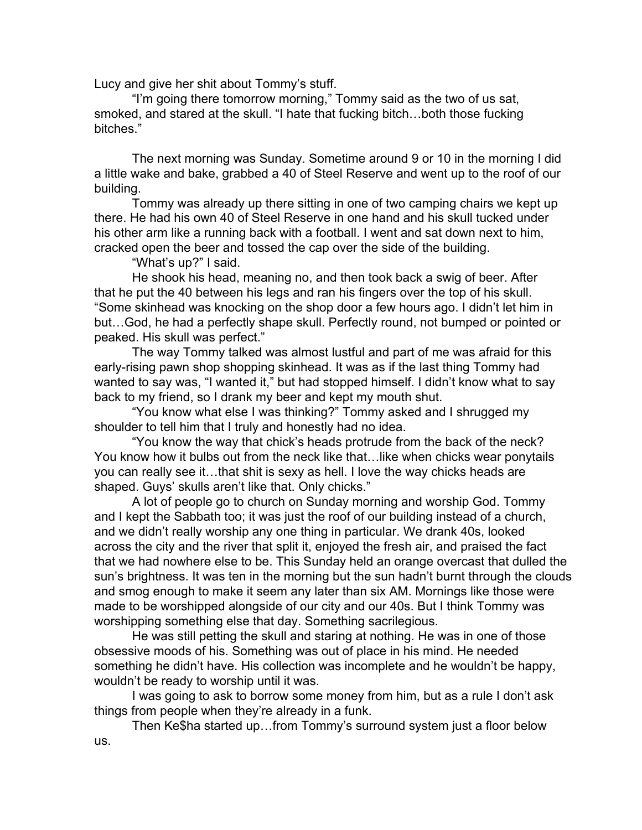Lucy and give her shit about Tommy's stuff.

"I'm going there tomorrow morning," Tommy said as the two of us sat, smoked, and stared at the skull. "I hate that fucking bitch…both those fucking bitches."

The next morning was Sunday. Sometime around 9 or 10 in the morning I did a little wake and bake, grabbed a 40 of Steel Reserve and went up to the roof of our building.

Tommy was already up there sitting in one of two camping chairs we kept up there. He had his own 40 of Steel Reserve in one hand and his skull tucked under his other arm like a running back with a football. I went and sat down next to him, cracked open the beer and tossed the cap over the side of the building.

"What's up?" I said.

He shook his head, meaning no, and then took back a swig of beer. After that he put the 40 between his legs and ran his fingers over the top of his skull. "Some skinhead was knocking on the shop door a few hours ago. I didn't let him in but…God, he had a perfectly shape skull. Perfectly round, not bumped or pointed or peaked. His skull was perfect."

The way Tommy talked was almost lustful and part of me was afraid for this early-rising pawn shop shopping skinhead. It was as if the last thing Tommy had wanted to say was, "I wanted it," but had stopped himself. I didn't know what to say back to my friend, so I drank my beer and kept my mouth shut.

"You know what else I was thinking?" Tommy asked and I shrugged my shoulder to tell him that I truly and honestly had no idea.

"You know the way that chick's heads protrude from the back of the neck? You know how it bulbs out from the neck like that…like when chicks wear ponytails you can really see it…that shit is sexy as hell. I love the way chicks heads are shaped. Guys' skulls aren't like that. Only chicks."

A lot of people go to church on Sunday morning and worship God. Tommy and I kept the Sabbath too; it was just the roof of our building instead of a church, and we didn't really worship any one thing in particular. We drank 40s, looked across the city and the river that split it, enjoyed the fresh air, and praised the fact that we had nowhere else to be. This Sunday held an orange overcast that dulled the sun's brightness. It was ten in the morning but the sun hadn't burnt through the clouds and smog enough to make it seem any later than six AM. Mornings like those were made to be worshipped alongside of our city and our 40s. But I think Tommy was worshipping something else that day. Something sacrilegious.

He was still petting the skull and staring at nothing. He was in one of those obsessive moods of his. Something was out of place in his mind. He needed something he didn't have. His collection was incomplete and he wouldn't be happy, wouldn't be ready to worship until it was.

I was going to ask to borrow some money from him, but as a rule I don't ask things from people when they're already in a funk.

Then Ke\$ha started up…from Tommy's surround system just a floor below us.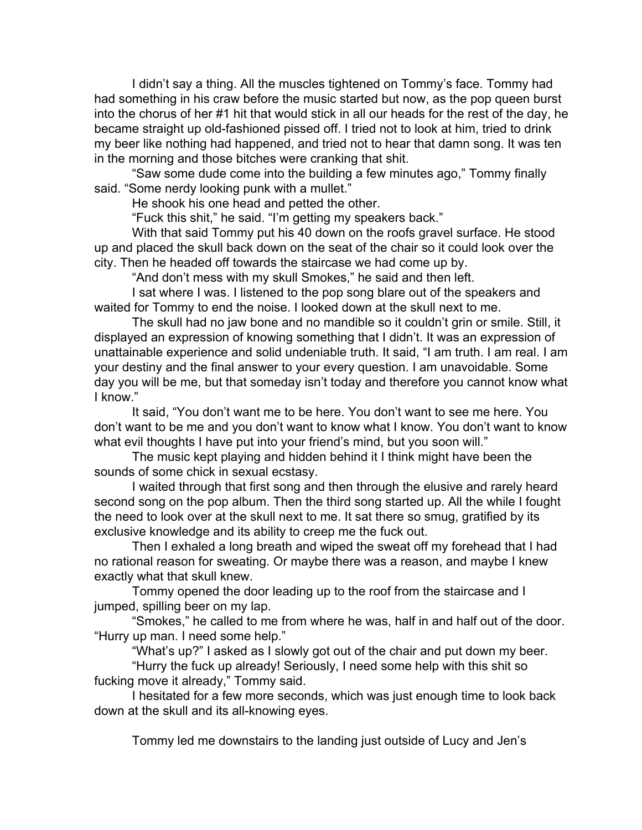I didn't say a thing. All the muscles tightened on Tommy's face. Tommy had had something in his craw before the music started but now, as the pop queen burst into the chorus of her #1 hit that would stick in all our heads for the rest of the day, he became straight up old-fashioned pissed off. I tried not to look at him, tried to drink my beer like nothing had happened, and tried not to hear that damn song. It was ten in the morning and those bitches were cranking that shit.

"Saw some dude come into the building a few minutes ago," Tommy finally said. "Some nerdy looking punk with a mullet."

He shook his one head and petted the other.

"Fuck this shit," he said. "I'm getting my speakers back."

With that said Tommy put his 40 down on the roofs gravel surface. He stood up and placed the skull back down on the seat of the chair so it could look over the city. Then he headed off towards the staircase we had come up by.

"And don't mess with my skull Smokes," he said and then left.

I sat where I was. I listened to the pop song blare out of the speakers and waited for Tommy to end the noise. I looked down at the skull next to me.

The skull had no jaw bone and no mandible so it couldn't grin or smile. Still, it displayed an expression of knowing something that I didn't. It was an expression of unattainable experience and solid undeniable truth. It said, "I am truth. I am real. I am your destiny and the final answer to your every question. I am unavoidable. Some day you will be me, but that someday isn't today and therefore you cannot know what I know."

It said, "You don't want me to be here. You don't want to see me here. You don't want to be me and you don't want to know what I know. You don't want to know what evil thoughts I have put into your friend's mind, but you soon will."

The music kept playing and hidden behind it I think might have been the sounds of some chick in sexual ecstasy.

I waited through that first song and then through the elusive and rarely heard second song on the pop album. Then the third song started up. All the while I fought the need to look over at the skull next to me. It sat there so smug, gratified by its exclusive knowledge and its ability to creep me the fuck out.

Then I exhaled a long breath and wiped the sweat off my forehead that I had no rational reason for sweating. Or maybe there was a reason, and maybe I knew exactly what that skull knew.

Tommy opened the door leading up to the roof from the staircase and I jumped, spilling beer on my lap.

"Smokes," he called to me from where he was, half in and half out of the door. "Hurry up man. I need some help."

"What's up?" I asked as I slowly got out of the chair and put down my beer. "Hurry the fuck up already! Seriously, I need some help with this shit so fucking move it already," Tommy said.

I hesitated for a few more seconds, which was just enough time to look back down at the skull and its all-knowing eyes.

Tommy led me downstairs to the landing just outside of Lucy and Jen's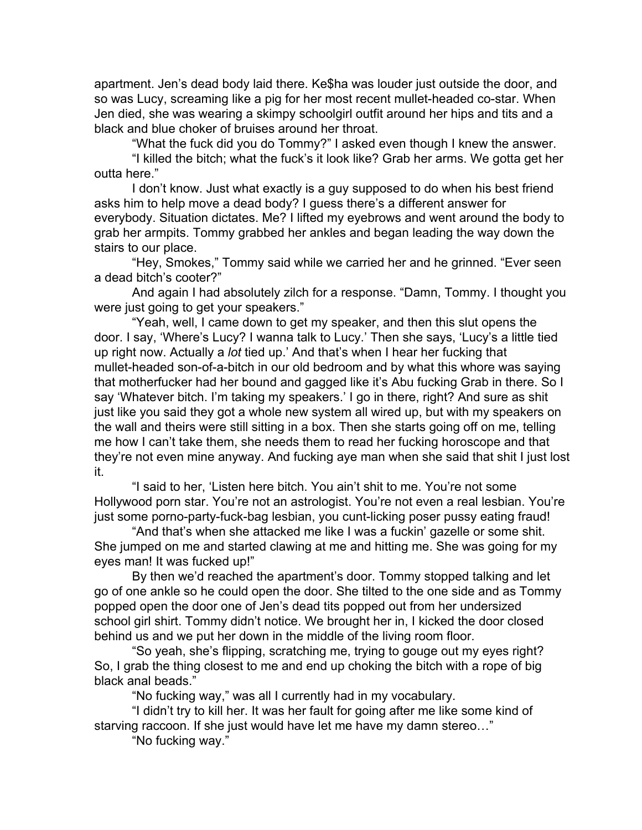apartment. Jen's dead body laid there. Ke\$ha was louder just outside the door, and so was Lucy, screaming like a pig for her most recent mullet-headed co-star. When Jen died, she was wearing a skimpy schoolgirl outfit around her hips and tits and a black and blue choker of bruises around her throat.

"What the fuck did you do Tommy?" I asked even though I knew the answer.

"I killed the bitch; what the fuck's it look like? Grab her arms. We gotta get her outta here."

I don't know. Just what exactly is a guy supposed to do when his best friend asks him to help move a dead body? I guess there's a different answer for everybody. Situation dictates. Me? I lifted my eyebrows and went around the body to grab her armpits. Tommy grabbed her ankles and began leading the way down the stairs to our place.

"Hey, Smokes," Tommy said while we carried her and he grinned. "Ever seen a dead bitch's cooter?"

And again I had absolutely zilch for a response. "Damn, Tommy. I thought you were just going to get your speakers."

"Yeah, well, I came down to get my speaker, and then this slut opens the door. I say, 'Where's Lucy? I wanna talk to Lucy.' Then she says, 'Lucy's a little tied up right now. Actually a *lot* tied up.' And that's when I hear her fucking that mullet-headed son-of-a-bitch in our old bedroom and by what this whore was saying that motherfucker had her bound and gagged like it's Abu fucking Grab in there. So I say 'Whatever bitch. I'm taking my speakers.' I go in there, right? And sure as shit just like you said they got a whole new system all wired up, but with my speakers on the wall and theirs were still sitting in a box. Then she starts going off on me, telling me how I can't take them, she needs them to read her fucking horoscope and that they're not even mine anyway. And fucking aye man when she said that shit I just lost it.

"I said to her, 'Listen here bitch. You ain't shit to me. You're not some Hollywood porn star. You're not an astrologist. You're not even a real lesbian. You're just some porno-party-fuck-bag lesbian, you cunt-licking poser pussy eating fraud!

"And that's when she attacked me like I was a fuckin' gazelle or some shit. She jumped on me and started clawing at me and hitting me. She was going for my eyes man! It was fucked up!"

By then we'd reached the apartment's door. Tommy stopped talking and let go of one ankle so he could open the door. She tilted to the one side and as Tommy popped open the door one of Jen's dead tits popped out from her undersized school girl shirt. Tommy didn't notice. We brought her in, I kicked the door closed behind us and we put her down in the middle of the living room floor.

"So yeah, she's flipping, scratching me, trying to gouge out my eyes right? So, I grab the thing closest to me and end up choking the bitch with a rope of big black anal beads."

"No fucking way," was all I currently had in my vocabulary.

"I didn't try to kill her. It was her fault for going after me like some kind of starving raccoon. If she just would have let me have my damn stereo…"

"No fucking way."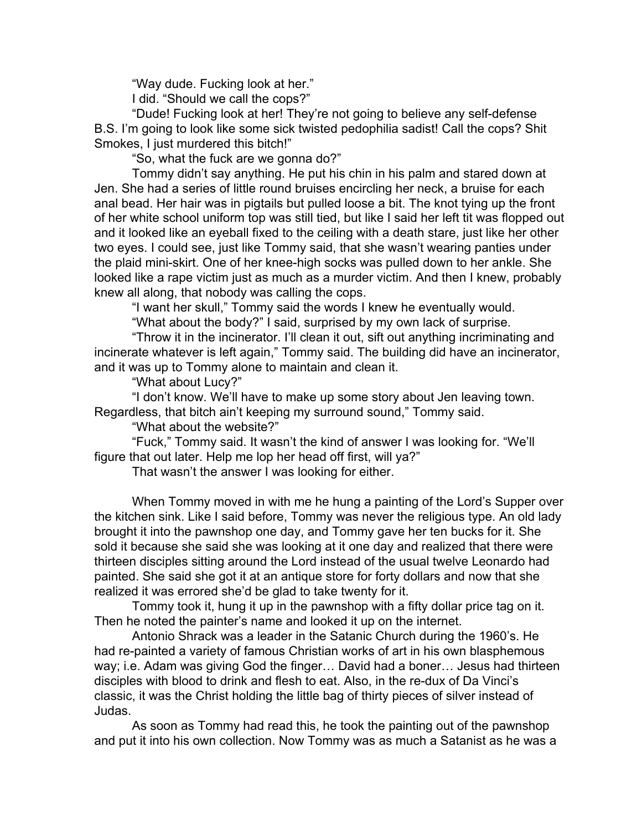"Way dude. Fucking look at her." I did. "Should we call the cops?"

"Dude! Fucking look at her! They're not going to believe any self-defense B.S. I'm going to look like some sick twisted pedophilia sadist! Call the cops? Shit Smokes, I just murdered this bitch!"

"So, what the fuck are we gonna do?"

Tommy didn't say anything. He put his chin in his palm and stared down at Jen. She had a series of little round bruises encircling her neck, a bruise for each anal bead. Her hair was in pigtails but pulled loose a bit. The knot tying up the front of her white school uniform top was still tied, but like I said her left tit was flopped out and it looked like an eyeball fixed to the ceiling with a death stare, just like her other two eyes. I could see, just like Tommy said, that she wasn't wearing panties under the plaid mini-skirt. One of her knee-high socks was pulled down to her ankle. She looked like a rape victim just as much as a murder victim. And then I knew, probably knew all along, that nobody was calling the cops.

"I want her skull," Tommy said the words I knew he eventually would.

"What about the body?" I said, surprised by my own lack of surprise.

"Throw it in the incinerator. I'll clean it out, sift out anything incriminating and incinerate whatever is left again," Tommy said. The building did have an incinerator, and it was up to Tommy alone to maintain and clean it.

"What about Lucy?"

"I don't know. We'll have to make up some story about Jen leaving town. Regardless, that bitch ain't keeping my surround sound," Tommy said.

"What about the website?"

"Fuck," Tommy said. It wasn't the kind of answer I was looking for. "We'll figure that out later. Help me lop her head off first, will ya?"

That wasn't the answer I was looking for either.

When Tommy moved in with me he hung a painting of the Lord's Supper over the kitchen sink. Like I said before, Tommy was never the religious type. An old lady brought it into the pawnshop one day, and Tommy gave her ten bucks for it. She sold it because she said she was looking at it one day and realized that there were thirteen disciples sitting around the Lord instead of the usual twelve Leonardo had painted. She said she got it at an antique store for forty dollars and now that she realized it was errored she'd be glad to take twenty for it.

Tommy took it, hung it up in the pawnshop with a fifty dollar price tag on it. Then he noted the painter's name and looked it up on the internet.

Antonio Shrack was a leader in the Satanic Church during the 1960's. He had re-painted a variety of famous Christian works of art in his own blasphemous way; i.e. Adam was giving God the finger… David had a boner… Jesus had thirteen disciples with blood to drink and flesh to eat. Also, in the re-dux of Da Vinci's classic, it was the Christ holding the little bag of thirty pieces of silver instead of Judas.

As soon as Tommy had read this, he took the painting out of the pawnshop and put it into his own collection. Now Tommy was as much a Satanist as he was a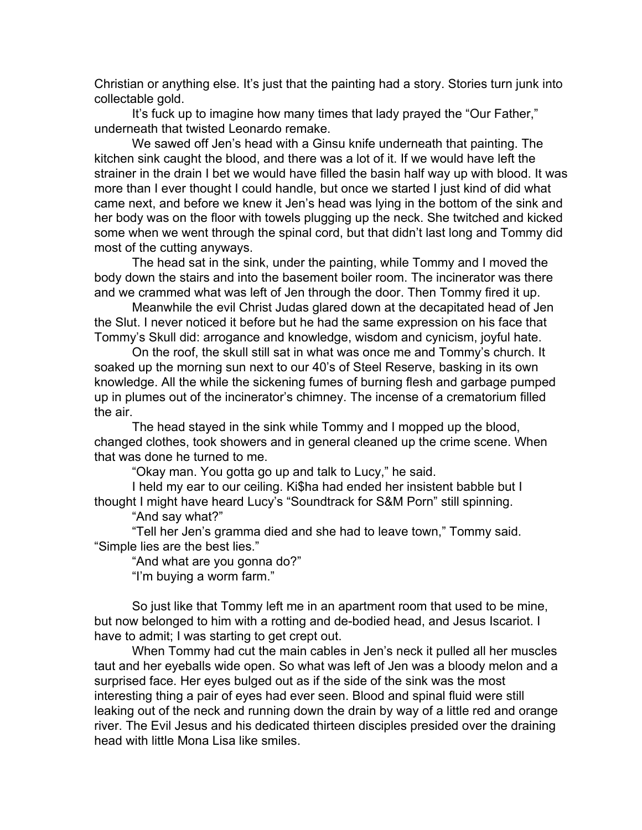Christian or anything else. It's just that the painting had a story. Stories turn junk into collectable gold.

It's fuck up to imagine how many times that lady prayed the "Our Father," underneath that twisted Leonardo remake.

We sawed off Jen's head with a Ginsu knife underneath that painting. The kitchen sink caught the blood, and there was a lot of it. If we would have left the strainer in the drain I bet we would have filled the basin half way up with blood. It was more than I ever thought I could handle, but once we started I just kind of did what came next, and before we knew it Jen's head was lying in the bottom of the sink and her body was on the floor with towels plugging up the neck. She twitched and kicked some when we went through the spinal cord, but that didn't last long and Tommy did most of the cutting anyways.

The head sat in the sink, under the painting, while Tommy and I moved the body down the stairs and into the basement boiler room. The incinerator was there and we crammed what was left of Jen through the door. Then Tommy fired it up.

Meanwhile the evil Christ Judas glared down at the decapitated head of Jen the Slut. I never noticed it before but he had the same expression on his face that Tommy's Skull did: arrogance and knowledge, wisdom and cynicism, joyful hate.

On the roof, the skull still sat in what was once me and Tommy's church. It soaked up the morning sun next to our 40's of Steel Reserve, basking in its own knowledge. All the while the sickening fumes of burning flesh and garbage pumped up in plumes out of the incinerator's chimney. The incense of a crematorium filled the air.

The head stayed in the sink while Tommy and I mopped up the blood, changed clothes, took showers and in general cleaned up the crime scene. When that was done he turned to me.

"Okay man. You gotta go up and talk to Lucy," he said.

I held my ear to our ceiling. Ki\$ha had ended her insistent babble but I thought I might have heard Lucy's "Soundtrack for S&M Porn" still spinning.

"And say what?"

"Tell her Jen's gramma died and she had to leave town," Tommy said. "Simple lies are the best lies."

"And what are you gonna do?"

"I'm buying a worm farm."

So just like that Tommy left me in an apartment room that used to be mine, but now belonged to him with a rotting and de-bodied head, and Jesus Iscariot. I have to admit; I was starting to get crept out.

When Tommy had cut the main cables in Jen's neck it pulled all her muscles taut and her eyeballs wide open. So what was left of Jen was a bloody melon and a surprised face. Her eyes bulged out as if the side of the sink was the most interesting thing a pair of eyes had ever seen. Blood and spinal fluid were still leaking out of the neck and running down the drain by way of a little red and orange river. The Evil Jesus and his dedicated thirteen disciples presided over the draining head with little Mona Lisa like smiles.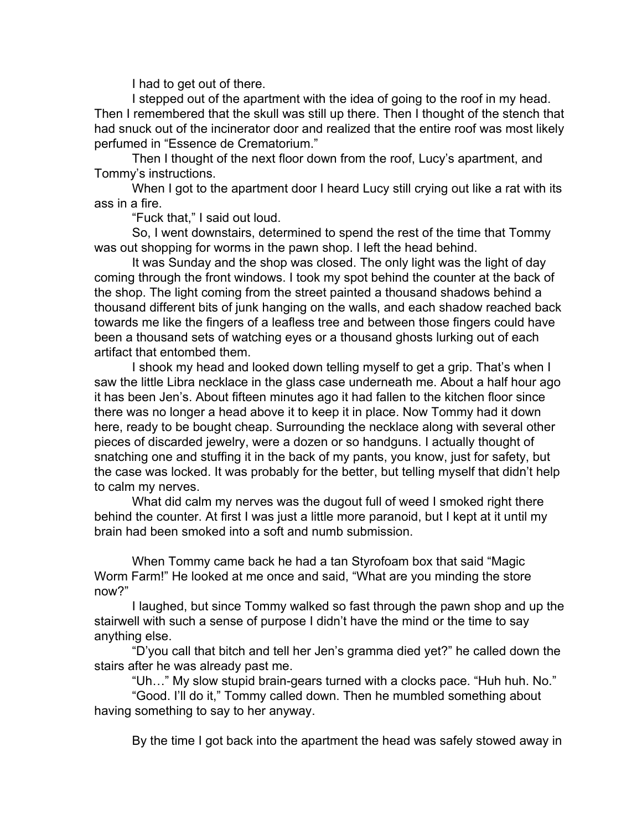I had to get out of there.

I stepped out of the apartment with the idea of going to the roof in my head. Then I remembered that the skull was still up there. Then I thought of the stench that had snuck out of the incinerator door and realized that the entire roof was most likely perfumed in "Essence de Crematorium."

Then I thought of the next floor down from the roof, Lucy's apartment, and Tommy's instructions.

When I got to the apartment door I heard Lucy still crying out like a rat with its ass in a fire.

"Fuck that," I said out loud.

So, I went downstairs, determined to spend the rest of the time that Tommy was out shopping for worms in the pawn shop. I left the head behind.

It was Sunday and the shop was closed. The only light was the light of day coming through the front windows. I took my spot behind the counter at the back of the shop. The light coming from the street painted a thousand shadows behind a thousand different bits of junk hanging on the walls, and each shadow reached back towards me like the fingers of a leafless tree and between those fingers could have been a thousand sets of watching eyes or a thousand ghosts lurking out of each artifact that entombed them.

I shook my head and looked down telling myself to get a grip. That's when I saw the little Libra necklace in the glass case underneath me. About a half hour ago it has been Jen's. About fifteen minutes ago it had fallen to the kitchen floor since there was no longer a head above it to keep it in place. Now Tommy had it down here, ready to be bought cheap. Surrounding the necklace along with several other pieces of discarded jewelry, were a dozen or so handguns. I actually thought of snatching one and stuffing it in the back of my pants, you know, just for safety, but the case was locked. It was probably for the better, but telling myself that didn't help to calm my nerves.

What did calm my nerves was the dugout full of weed I smoked right there behind the counter. At first I was just a little more paranoid, but I kept at it until my brain had been smoked into a soft and numb submission.

When Tommy came back he had a tan Styrofoam box that said "Magic Worm Farm!" He looked at me once and said, "What are you minding the store now?"

I laughed, but since Tommy walked so fast through the pawn shop and up the stairwell with such a sense of purpose I didn't have the mind or the time to say anything else.

"D'you call that bitch and tell her Jen's gramma died yet?" he called down the stairs after he was already past me.

"Uh…" My slow stupid braingears turned with a clocks pace. "Huh huh. No."

"Good. I'll do it," Tommy called down. Then he mumbled something about having something to say to her anyway.

By the time I got back into the apartment the head was safely stowed away in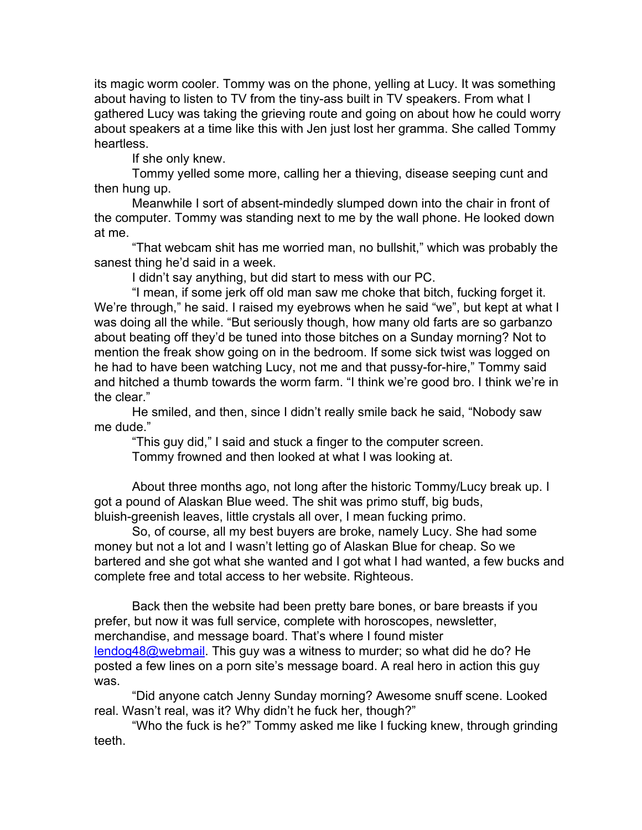its magic worm cooler. Tommy was on the phone, yelling at Lucy. It was something about having to listen to TV from the tiny-ass built in TV speakers. From what I gathered Lucy was taking the grieving route and going on about how he could worry about speakers at a time like this with Jen just lost her gramma. She called Tommy heartless.

If she only knew.

Tommy yelled some more, calling her a thieving, disease seeping cunt and then hung up.

Meanwhile I sort of absent-mindedly slumped down into the chair in front of the computer. Tommy was standing next to me by the wall phone. He looked down at me.

"That webcam shit has me worried man, no bullshit," which was probably the sanest thing he'd said in a week.

I didn't say anything, but did start to mess with our PC.

"I mean, if some jerk off old man saw me choke that bitch, fucking forget it. We're through," he said. I raised my eyebrows when he said "we", but kept at what I was doing all the while. "But seriously though, how many old farts are so garbanzo about beating off they'd be tuned into those bitches on a Sunday morning? Not to mention the freak show going on in the bedroom. If some sick twist was logged on he had to have been watching Lucy, not me and that pussy-for-hire," Tommy said and hitched a thumb towards the worm farm. "I think we're good bro. I think we're in the clear."

He smiled, and then, since I didn't really smile back he said, "Nobody saw me dude."

"This guy did," I said and stuck a finger to the computer screen. Tommy frowned and then looked at what I was looking at.

About three months ago, not long after the historic Tommy/Lucy break up. I got a pound of Alaskan Blue weed. The shit was primo stuff, big buds, bluish-greenish leaves, little crystals all over, I mean fucking primo.

So, of course, all my best buyers are broke, namely Lucy. She had some money but not a lot and I wasn't letting go of Alaskan Blue for cheap. So we bartered and she got what she wanted and I got what I had wanted, a few bucks and complete free and total access to her website. Righteous.

Back then the website had been pretty bare bones, or bare breasts if you prefer, but now it was full service, complete with horoscopes, newsletter, merchandise, and message board. That's where I found mister lendog48@webmail. This guy was a witness to murder; so what did he do? He posted a few lines on a porn site's message board. A real hero in action this guy was.

"Did anyone catch Jenny Sunday morning? Awesome snuff scene. Looked real. Wasn't real, was it? Why didn't he fuck her, though?"

"Who the fuck is he?" Tommy asked me like I fucking knew, through grinding teeth.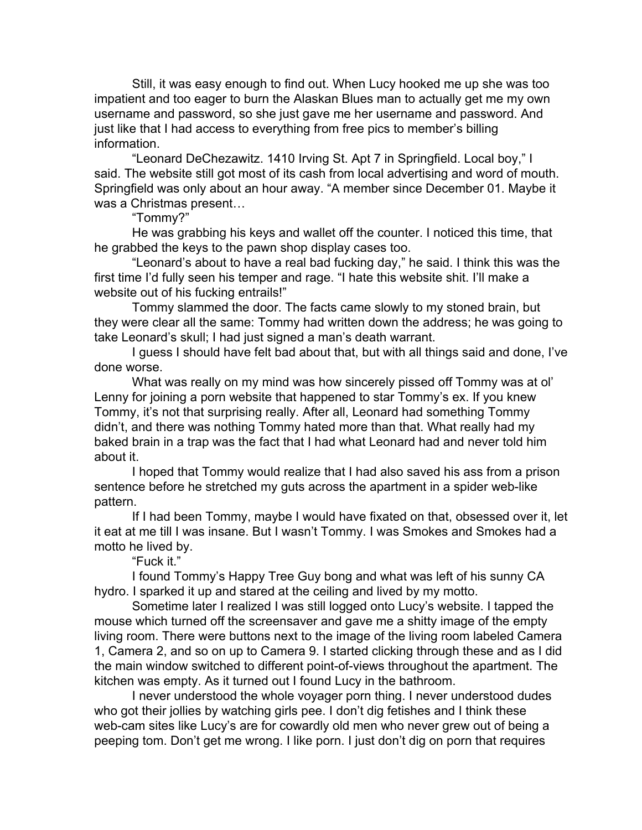Still, it was easy enough to find out. When Lucy hooked me up she was too impatient and too eager to burn the Alaskan Blues man to actually get me my own username and password, so she just gave me her username and password. And just like that I had access to everything from free pics to member's billing information.

"Leonard DeChezawitz. 1410 Irving St. Apt 7 in Springfield. Local boy," I said. The website still got most of its cash from local advertising and word of mouth. Springfield was only about an hour away. "A member since December 01. Maybe it was a Christmas present…

"Tommy?"

He was grabbing his keys and wallet off the counter. I noticed this time, that he grabbed the keys to the pawn shop display cases too.

"Leonard's about to have a real bad fucking day," he said. I think this was the first time I'd fully seen his temper and rage. "I hate this website shit. I'll make a website out of his fucking entrails!"

Tommy slammed the door. The facts came slowly to my stoned brain, but they were clear all the same: Tommy had written down the address; he was going to take Leonard's skull; I had just signed a man's death warrant.

I guess I should have felt bad about that, but with all things said and done, I've done worse.

What was really on my mind was how sincerely pissed off Tommy was at ol' Lenny for joining a porn website that happened to star Tommy's ex. If you knew Tommy, it's not that surprising really. After all, Leonard had something Tommy didn't, and there was nothing Tommy hated more than that. What really had my baked brain in a trap was the fact that I had what Leonard had and never told him about it.

I hoped that Tommy would realize that I had also saved his ass from a prison sentence before he stretched my guts across the apartment in a spider web-like pattern.

If I had been Tommy, maybe I would have fixated on that, obsessed over it, let it eat at me till I was insane. But I wasn't Tommy. I was Smokes and Smokes had a motto he lived by.

"Fuck it."

I found Tommy's Happy Tree Guy bong and what was left of his sunny CA hydro. I sparked it up and stared at the ceiling and lived by my motto.

Sometime later I realized I was still logged onto Lucy's website. I tapped the mouse which turned off the screensaver and gave me a shitty image of the empty living room. There were buttons next to the image of the living room labeled Camera 1, Camera 2, and so on up to Camera 9. I started clicking through these and as I did the main window switched to different point-of-views throughout the apartment. The kitchen was empty. As it turned out I found Lucy in the bathroom.

I never understood the whole voyager porn thing. I never understood dudes who got their jollies by watching girls pee. I don't dig fetishes and I think these web-cam sites like Lucy's are for cowardly old men who never grew out of being a peeping tom. Don't get me wrong. I like porn. I just don't dig on porn that requires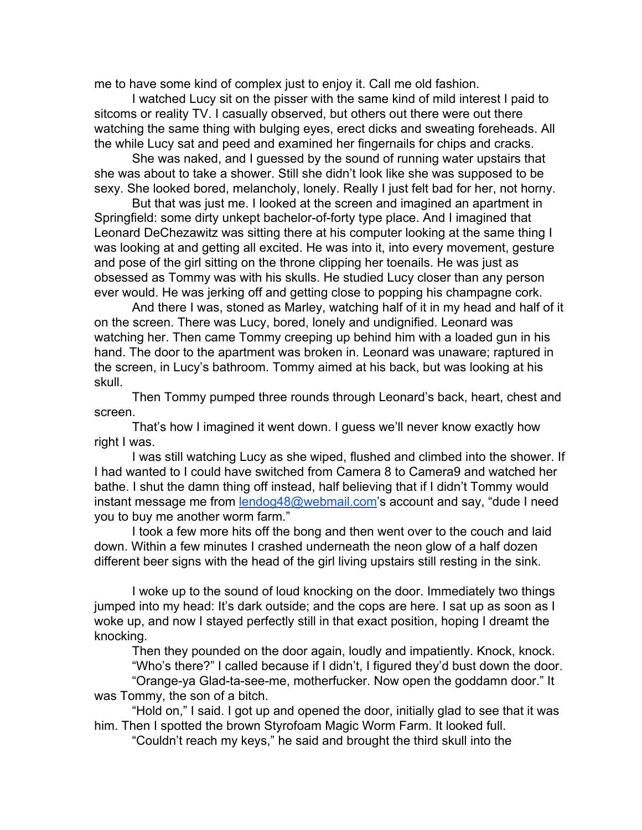me to have some kind of complex just to enjoy it. Call me old fashion.

I watched Lucy sit on the pisser with the same kind of mild interest I paid to sitcoms or reality TV. I casually observed, but others out there were out there watching the same thing with bulging eyes, erect dicks and sweating foreheads. All the while Lucy sat and peed and examined her fingernails for chips and cracks.

She was naked, and I guessed by the sound of running water upstairs that she was about to take a shower. Still she didn't look like she was supposed to be sexy. She looked bored, melancholy, lonely. Really I just felt bad for her, not horny.

But that was just me. I looked at the screen and imagined an apartment in Springfield: some dirty unkept bachelor-of-forty type place. And I imagined that Leonard DeChezawitz was sitting there at his computer looking at the same thing I was looking at and getting all excited. He was into it, into every movement, gesture and pose of the girl sitting on the throne clipping her toenails. He was just as obsessed as Tommy was with his skulls. He studied Lucy closer than any person ever would. He was jerking off and getting close to popping his champagne cork.

And there I was, stoned as Marley, watching half of it in my head and half of it on the screen. There was Lucy, bored, lonely and undignified. Leonard was watching her. Then came Tommy creeping up behind him with a loaded gun in his hand. The door to the apartment was broken in. Leonard was unaware; raptured in the screen, in Lucy's bathroom. Tommy aimed at his back, but was looking at his skull.

Then Tommy pumped three rounds through Leonard's back, heart, chest and screen.

That's how I imagined it went down. I guess we'll never know exactly how right I was.

I was still watching Lucy as she wiped, flushed and climbed into the shower. If I had wanted to I could have switched from Camera 8 to Camera9 and watched her bathe. I shut the damn thing off instead, half believing that if I didn't Tommy would instant message me from [lendog48@webmail.com'](mailto:lendog48@webmail.com)s account and say, "dude I need you to buy me another worm farm."

I took a few more hits off the bong and then went over to the couch and laid down. Within a few minutes I crashed underneath the neon glow of a half dozen different beer signs with the head of the girl living upstairs still resting in the sink.

I woke up to the sound of loud knocking on the door. Immediately two things jumped into my head: It's dark outside; and the cops are here. I sat up as soon as I woke up, and now I stayed perfectly still in that exact position, hoping I dreamt the knocking.

Then they pounded on the door again, loudly and impatiently. Knock, knock. "Who's there?" I called because if I didn't, I figured they'd bust down the door.

"Orange-ya Glad-ta-see-me, motherfucker. Now open the goddamn door." It was Tommy, the son of a bitch.

"Hold on," I said. I got up and opened the door, initially glad to see that it was him. Then I spotted the brown Styrofoam Magic Worm Farm. It looked full.

"Couldn't reach my keys," he said and brought the third skull into the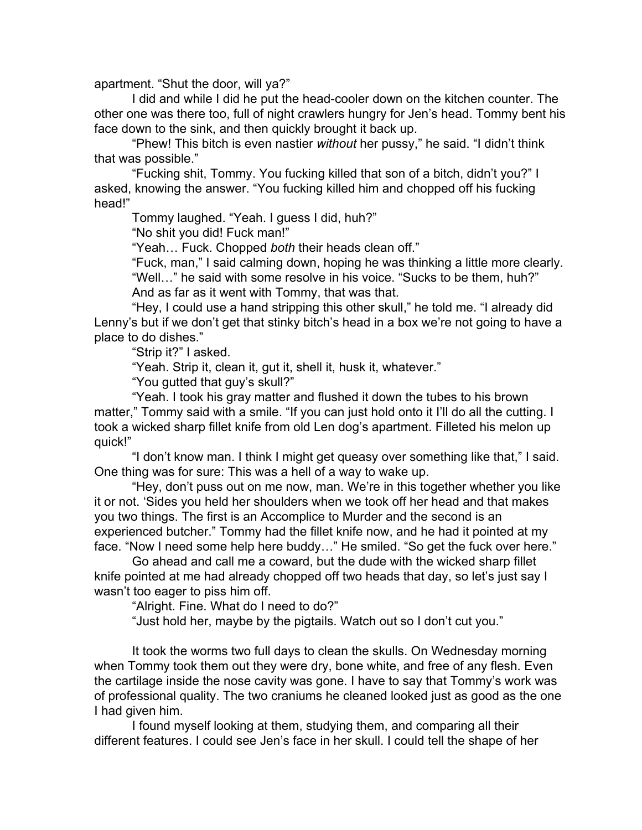apartment. "Shut the door, will ya?"

I did and while I did he put the head-cooler down on the kitchen counter. The other one was there too, full of night crawlers hungry for Jen's head. Tommy bent his face down to the sink, and then quickly brought it back up.

"Phew! This bitch is even nastier *without* her pussy," he said. "I didn't think that was possible."

"Fucking shit, Tommy. You fucking killed that son of a bitch, didn't you?" I asked, knowing the answer. "You fucking killed him and chopped off his fucking head!"

Tommy laughed. "Yeah. I guess I did, huh?"

"No shit you did! Fuck man!"

"Yeah… Fuck. Chopped *both* their heads clean off."

"Fuck, man," I said calming down, hoping he was thinking a little more clearly. "Well…" he said with some resolve in his voice. "Sucks to be them, huh?"

And as far as it went with Tommy, that was that.

"Hey, I could use a hand stripping this other skull," he told me. "I already did Lenny's but if we don't get that stinky bitch's head in a box we're not going to have a place to do dishes."

"Strip it?" I asked.

"Yeah. Strip it, clean it, gut it, shell it, husk it, whatever."

"You gutted that guy's skull?"

"Yeah. I took his gray matter and flushed it down the tubes to his brown matter," Tommy said with a smile. "If you can just hold onto it I'll do all the cutting. I took a wicked sharp fillet knife from old Len dog's apartment. Filleted his melon up quick!"

"I don't know man. I think I might get queasy over something like that," I said. One thing was for sure: This was a hell of a way to wake up.

"Hey, don't puss out on me now, man. We're in this together whether you like it or not. 'Sides you held her shoulders when we took off her head and that makes you two things. The first is an Accomplice to Murder and the second is an experienced butcher." Tommy had the fillet knife now, and he had it pointed at my face. "Now I need some help here buddy…" He smiled. "So get the fuck over here."

Go ahead and call me a coward, but the dude with the wicked sharp fillet knife pointed at me had already chopped off two heads that day, so let's just say I wasn't too eager to piss him off.

"Alright. Fine. What do I need to do?"

"Just hold her, maybe by the pigtails. Watch out so I don't cut you."

It took the worms two full days to clean the skulls. On Wednesday morning when Tommy took them out they were dry, bone white, and free of any flesh. Even the cartilage inside the nose cavity was gone. I have to say that Tommy's work was of professional quality. The two craniums he cleaned looked just as good as the one I had given him.

I found myself looking at them, studying them, and comparing all their different features. I could see Jen's face in her skull. I could tell the shape of her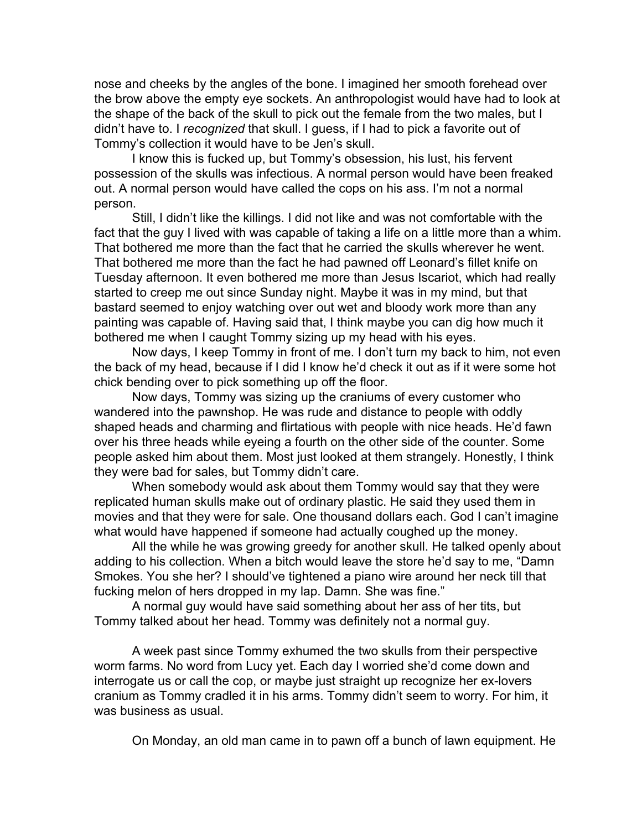nose and cheeks by the angles of the bone. I imagined her smooth forehead over the brow above the empty eye sockets. An anthropologist would have had to look at the shape of the back of the skull to pick out the female from the two males, but I didn't have to. I *recognized* that skull. I guess, if I had to pick a favorite out of Tommy's collection it would have to be Jen's skull.

I know this is fucked up, but Tommy's obsession, his lust, his fervent possession of the skulls was infectious. A normal person would have been freaked out. A normal person would have called the cops on his ass. I'm not a normal person.

Still, I didn't like the killings. I did not like and was not comfortable with the fact that the guy I lived with was capable of taking a life on a little more than a whim. That bothered me more than the fact that he carried the skulls wherever he went. That bothered me more than the fact he had pawned off Leonard's fillet knife on Tuesday afternoon. It even bothered me more than Jesus Iscariot, which had really started to creep me out since Sunday night. Maybe it was in my mind, but that bastard seemed to enjoy watching over out wet and bloody work more than any painting was capable of. Having said that, I think maybe you can dig how much it bothered me when I caught Tommy sizing up my head with his eyes.

Now days, I keep Tommy in front of me. I don't turn my back to him, not even the back of my head, because if I did I know he'd check it out as if it were some hot chick bending over to pick something up off the floor.

Now days, Tommy was sizing up the craniums of every customer who wandered into the pawnshop. He was rude and distance to people with oddly shaped heads and charming and flirtatious with people with nice heads. He'd fawn over his three heads while eyeing a fourth on the other side of the counter. Some people asked him about them. Most just looked at them strangely. Honestly, I think they were bad for sales, but Tommy didn't care.

When somebody would ask about them Tommy would say that they were replicated human skulls make out of ordinary plastic. He said they used them in movies and that they were for sale. One thousand dollars each. God I can't imagine what would have happened if someone had actually coughed up the money.

All the while he was growing greedy for another skull. He talked openly about adding to his collection. When a bitch would leave the store he'd say to me, "Damn Smokes. You she her? I should've tightened a piano wire around her neck till that fucking melon of hers dropped in my lap. Damn. She was fine."

A normal guy would have said something about her ass of her tits, but Tommy talked about her head. Tommy was definitely not a normal guy.

A week past since Tommy exhumed the two skulls from their perspective worm farms. No word from Lucy yet. Each day I worried she'd come down and interrogate us or call the cop, or maybe just straight up recognize her ex-lovers cranium as Tommy cradled it in his arms. Tommy didn't seem to worry. For him, it was business as usual.

On Monday, an old man came in to pawn off a bunch of lawn equipment. He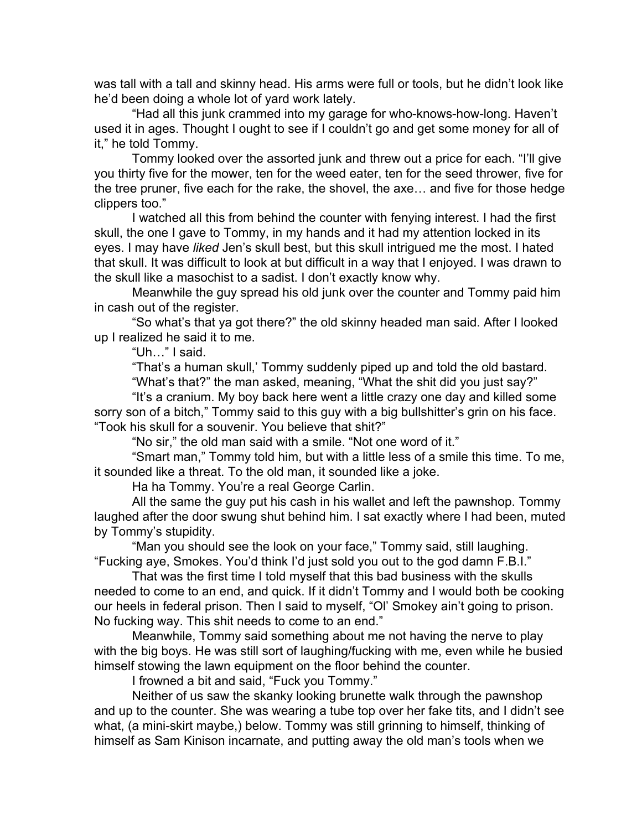was tall with a tall and skinny head. His arms were full or tools, but he didn't look like he'd been doing a whole lot of yard work lately.

"Had all this junk crammed into my garage for who-knows-how-long. Haven't used it in ages. Thought I ought to see if I couldn't go and get some money for all of it," he told Tommy.

Tommy looked over the assorted junk and threw out a price for each. "I'll give you thirty five for the mower, ten for the weed eater, ten for the seed thrower, five for the tree pruner, five each for the rake, the shovel, the axe… and five for those hedge clippers too."

I watched all this from behind the counter with fenying interest. I had the first skull, the one I gave to Tommy, in my hands and it had my attention locked in its eyes. I may have *liked* Jen's skull best, but this skull intrigued me the most. I hated that skull. It was difficult to look at but difficult in a way that I enjoyed. I was drawn to the skull like a masochist to a sadist. I don't exactly know why.

Meanwhile the guy spread his old junk over the counter and Tommy paid him in cash out of the register.

"So what's that ya got there?" the old skinny headed man said. After I looked up I realized he said it to me.

"Uh…" I said.

"That's a human skull,' Tommy suddenly piped up and told the old bastard. "What's that?" the man asked, meaning, "What the shit did you just say?"

"It's a cranium. My boy back here went a little crazy one day and killed some sorry son of a bitch," Tommy said to this guy with a big bullshitter's grin on his face.

"Took his skull for a souvenir. You believe that shit?"

"No sir," the old man said with a smile. "Not one word of it."

"Smart man," Tommy told him, but with a little less of a smile this time. To me, it sounded like a threat. To the old man, it sounded like a joke.

Ha ha Tommy. You're a real George Carlin.

All the same the guy put his cash in his wallet and left the pawnshop. Tommy laughed after the door swung shut behind him. I sat exactly where I had been, muted by Tommy's stupidity.

"Man you should see the look on your face," Tommy said, still laughing. "Fucking aye, Smokes. You'd think I'd just sold you out to the god damn F.B.I."

That was the first time I told myself that this bad business with the skulls needed to come to an end, and quick. If it didn't Tommy and I would both be cooking our heels in federal prison. Then I said to myself, "Ol' Smokey ain't going to prison. No fucking way. This shit needs to come to an end."

Meanwhile, Tommy said something about me not having the nerve to play with the big boys. He was still sort of laughing/fucking with me, even while he busied himself stowing the lawn equipment on the floor behind the counter.

I frowned a bit and said, "Fuck you Tommy."

Neither of us saw the skanky looking brunette walk through the pawnshop and up to the counter. She was wearing a tube top over her fake tits, and I didn't see what, (a mini-skirt maybe,) below. Tommy was still grinning to himself, thinking of himself as Sam Kinison incarnate, and putting away the old man's tools when we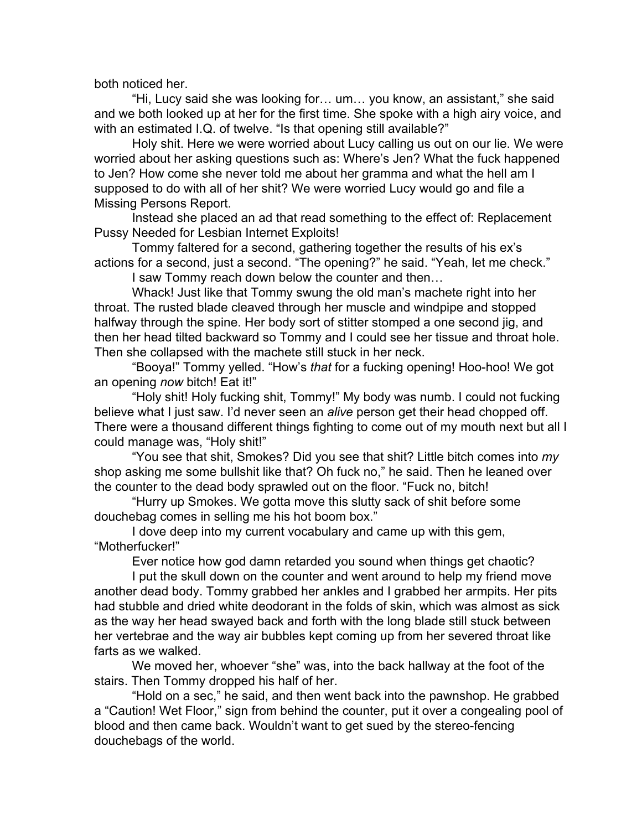both noticed her.

"Hi, Lucy said she was looking for… um… you know, an assistant," she said and we both looked up at her for the first time. She spoke with a high airy voice, and with an estimated I.Q. of twelve. "Is that opening still available?"

Holy shit. Here we were worried about Lucy calling us out on our lie. We were worried about her asking questions such as: Where's Jen? What the fuck happened to Jen? How come she never told me about her gramma and what the hell am I supposed to do with all of her shit? We were worried Lucy would go and file a Missing Persons Report.

Instead she placed an ad that read something to the effect of: Replacement Pussy Needed for Lesbian Internet Exploits!

Tommy faltered for a second, gathering together the results of his ex's actions for a second, just a second. "The opening?" he said. "Yeah, let me check."

I saw Tommy reach down below the counter and then…

Whack! Just like that Tommy swung the old man's machete right into her throat. The rusted blade cleaved through her muscle and windpipe and stopped halfway through the spine. Her body sort of stitter stomped a one second jig, and then her head tilted backward so Tommy and I could see her tissue and throat hole. Then she collapsed with the machete still stuck in her neck.

"Booya!" Tommy yelled. "How's *that* for a fucking opening! Hoo-hoo! We got an opening *now* bitch! Eat it!"

"Holy shit! Holy fucking shit, Tommy!" My body was numb. I could not fucking believe what I just saw. I'd never seen an *alive* person get their head chopped off. There were a thousand different things fighting to come out of my mouth next but all I could manage was, "Holy shit!"

"You see that shit, Smokes? Did you see that shit? Little bitch comes into *my* shop asking me some bullshit like that? Oh fuck no," he said. Then he leaned over the counter to the dead body sprawled out on the floor. "Fuck no, bitch!

"Hurry up Smokes. We gotta move this slutty sack of shit before some douchebag comes in selling me his hot boom box."

I dove deep into my current vocabulary and came up with this gem, "Motherfucker!"

Ever notice how god damn retarded you sound when things get chaotic?

I put the skull down on the counter and went around to help my friend move another dead body. Tommy grabbed her ankles and I grabbed her armpits. Her pits had stubble and dried white deodorant in the folds of skin, which was almost as sick as the way her head swayed back and forth with the long blade still stuck between her vertebrae and the way air bubbles kept coming up from her severed throat like farts as we walked.

We moved her, whoever "she" was, into the back hallway at the foot of the

douchebags of the world.

stairs. Then Tommy dropped his half of her. "Hold on a sec," he said, and then went back into the pawnshop. He grabbed a "Caution! Wet Floor," sign from behind the counter, put it over a congealing pool of blood and then came back. Wouldn't want to get sued by the stereo-fencing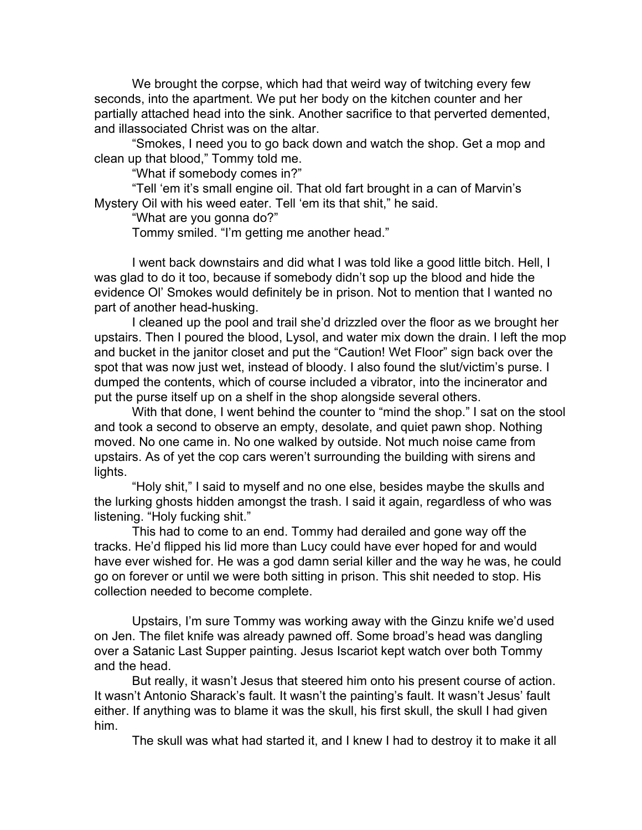We brought the corpse, which had that weird way of twitching every few seconds, into the apartment. We put her body on the kitchen counter and her partially attached head into the sink. Another sacrifice to that perverted demented, and illassociated Christ was on the altar.

"Smokes, I need you to go back down and watch the shop. Get a mop and clean up that blood," Tommy told me.

"What if somebody comes in?"

"Tell 'em it's small engine oil. That old fart brought in a can of Marvin's Mystery Oil with his weed eater. Tell 'em its that shit," he said.

"What are you gonna do?"

Tommy smiled. "I'm getting me another head."

I went back downstairs and did what I was told like a good little bitch. Hell, I was glad to do it too, because if somebody didn't sop up the blood and hide the evidence Ol' Smokes would definitely be in prison. Not to mention that I wanted no part of another head-husking.

I cleaned up the pool and trail she'd drizzled over the floor as we brought her upstairs. Then I poured the blood, Lysol, and water mix down the drain. I left the mop and bucket in the janitor closet and put the "Caution! Wet Floor" sign back over the spot that was now just wet, instead of bloody. I also found the slut/victim's purse. I dumped the contents, which of course included a vibrator, into the incinerator and put the purse itself up on a shelf in the shop alongside several others.

With that done, I went behind the counter to "mind the shop." I sat on the stool and took a second to observe an empty, desolate, and quiet pawn shop. Nothing moved. No one came in. No one walked by outside. Not much noise came from upstairs. As of yet the cop cars weren't surrounding the building with sirens and lights.

"Holy shit," I said to myself and no one else, besides maybe the skulls and the lurking ghosts hidden amongst the trash. I said it again, regardless of who was listening. "Holy fucking shit."

This had to come to an end. Tommy had derailed and gone way off the tracks. He'd flipped his lid more than Lucy could have ever hoped for and would have ever wished for. He was a god damn serial killer and the way he was, he could go on forever or until we were both sitting in prison. This shit needed to stop. His collection needed to become complete.

Upstairs, I'm sure Tommy was working away with the Ginzu knife we'd used on Jen. The filet knife was already pawned off. Some broad's head was dangling over a Satanic Last Supper painting. Jesus Iscariot kept watch over both Tommy and the head.

But really, it wasn't Jesus that steered him onto his present course of action. It wasn't Antonio Sharack's fault. It wasn't the painting's fault. It wasn't Jesus' fault either. If anything was to blame it was the skull, his first skull, the skull I had given him.

The skull was what had started it, and I knew I had to destroy it to make it all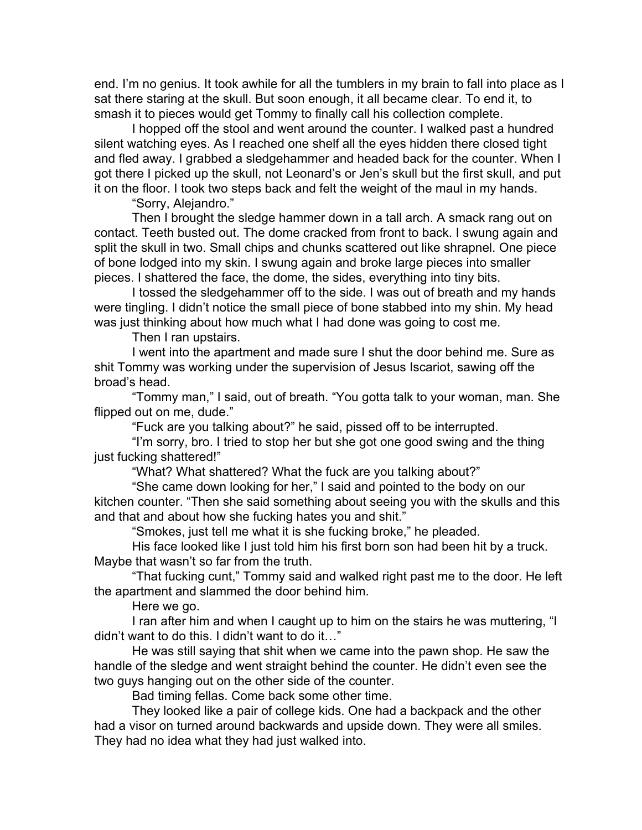end. I'm no genius. It took awhile for all the tumblers in my brain to fall into place as I sat there staring at the skull. But soon enough, it all became clear. To end it, to smash it to pieces would get Tommy to finally call his collection complete.

I hopped off the stool and went around the counter. I walked past a hundred silent watching eyes. As I reached one shelf all the eyes hidden there closed tight and fled away. I grabbed a sledgehammer and headed back for the counter. When I got there I picked up the skull, not Leonard's or Jen's skull but the first skull, and put it on the floor. I took two steps back and felt the weight of the maul in my hands.

"Sorry, Alejandro."

Then I brought the sledge hammer down in a tall arch. A smack rang out on contact. Teeth busted out. The dome cracked from front to back. I swung again and split the skull in two. Small chips and chunks scattered out like shrapnel. One piece of bone lodged into my skin. I swung again and broke large pieces into smaller pieces. I shattered the face, the dome, the sides, everything into tiny bits.

I tossed the sledgehammer off to the side. I was out of breath and my hands were tingling. I didn't notice the small piece of bone stabbed into my shin. My head was just thinking about how much what I had done was going to cost me.

Then I ran upstairs.

I went into the apartment and made sure I shut the door behind me. Sure as shit Tommy was working under the supervision of Jesus Iscariot, sawing off the broad's head.

"Tommy man," I said, out of breath. "You gotta talk to your woman, man. She flipped out on me, dude."

"Fuck are you talking about?" he said, pissed off to be interrupted.

"I'm sorry, bro. I tried to stop her but she got one good swing and the thing just fucking shattered!"

"What? What shattered? What the fuck are you talking about?"

"She came down looking for her," I said and pointed to the body on our kitchen counter. "Then she said something about seeing you with the skulls and this and that and about how she fucking hates you and shit."

"Smokes, just tell me what it is she fucking broke," he pleaded.

His face looked like I just told him his first born son had been hit by a truck. Maybe that wasn't so far from the truth.

"That fucking cunt," Tommy said and walked right past me to the door. He left the apartment and slammed the door behind him.

Here we go.

I ran after him and when I caught up to him on the stairs he was muttering, "I didn't want to do this. I didn't want to do it…"

He was still saying that shit when we came into the pawn shop. He saw the handle of the sledge and went straight behind the counter. He didn't even see the two guys hanging out on the other side of the counter.

Bad timing fellas. Come back some other time.

They looked like a pair of college kids. One had a backpack and the other had a visor on turned around backwards and upside down. They were all smiles. They had no idea what they had just walked into.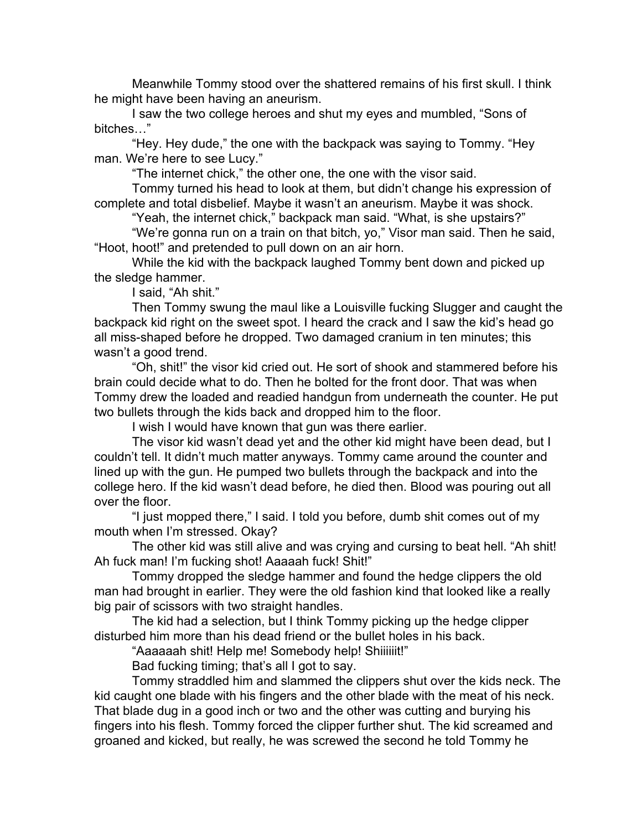Meanwhile Tommy stood over the shattered remains of his first skull. I think he might have been having an aneurism.

I saw the two college heroes and shut my eyes and mumbled, "Sons of bitches…"

"Hey. Hey dude," the one with the backpack was saying to Tommy. "Hey man. We're here to see Lucy."

"The internet chick," the other one, the one with the visor said.

Tommy turned his head to look at them, but didn't change his expression of complete and total disbelief. Maybe it wasn't an aneurism. Maybe it was shock.

"Yeah, the internet chick," backpack man said. "What, is she upstairs?" "We're gonna run on a train on that bitch, yo," Visor man said. Then he said,

"Hoot, hoot!" and pretended to pull down on an air horn.

While the kid with the backpack laughed Tommy bent down and picked up the sledge hammer.

I said, "Ah shit."

Then Tommy swung the maul like a Louisville fucking Slugger and caught the backpack kid right on the sweet spot. I heard the crack and I saw the kid's head go all miss-shaped before he dropped. Two damaged cranium in ten minutes; this wasn't a good trend.

"Oh, shit!" the visor kid cried out. He sort of shook and stammered before his brain could decide what to do. Then he bolted for the front door. That was when Tommy drew the loaded and readied handgun from underneath the counter. He put two bullets through the kids back and dropped him to the floor.

I wish I would have known that gun was there earlier.

The visor kid wasn't dead yet and the other kid might have been dead, but I couldn't tell. It didn't much matter anyways. Tommy came around the counter and lined up with the gun. He pumped two bullets through the backpack and into the college hero. If the kid wasn't dead before, he died then. Blood was pouring out all over the floor.

"I just mopped there," I said. I told you before, dumb shit comes out of my mouth when I'm stressed. Okay?

The other kid was still alive and was crying and cursing to beat hell. "Ah shit! Ah fuck man! I'm fucking shot! Aaaaah fuck! Shit!"

Tommy dropped the sledge hammer and found the hedge clippers the old man had brought in earlier. They were the old fashion kind that looked like a really big pair of scissors with two straight handles.

The kid had a selection, but I think Tommy picking up the hedge clipper disturbed him more than his dead friend or the bullet holes in his back.

"Aaaaaah shit! Help me! Somebody help! Shiiiiiit!"

Bad fucking timing; that's all I got to say.

Tommy straddled him and slammed the clippers shut over the kids neck. The kid caught one blade with his fingers and the other blade with the meat of his neck. That blade dug in a good inch or two and the other was cutting and burying his fingers into his flesh. Tommy forced the clipper further shut. The kid screamed and groaned and kicked, but really, he was screwed the second he told Tommy he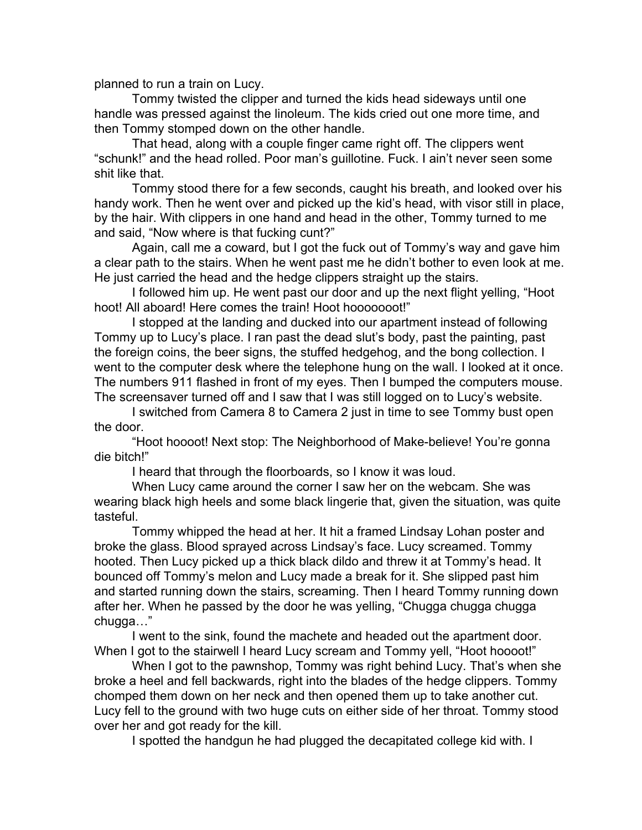planned to run a train on Lucy.

Tommy twisted the clipper and turned the kids head sideways until one handle was pressed against the linoleum. The kids cried out one more time, and then Tommy stomped down on the other handle.

That head, along with a couple finger came right off. The clippers went "schunk!" and the head rolled. Poor man's guillotine. Fuck. I ain't never seen some shit like that.

Tommy stood there for a few seconds, caught his breath, and looked over his handy work. Then he went over and picked up the kid's head, with visor still in place, by the hair. With clippers in one hand and head in the other, Tommy turned to me and said, "Now where is that fucking cunt?"

Again, call me a coward, but I got the fuck out of Tommy's way and gave him a clear path to the stairs. When he went past me he didn't bother to even look at me. He just carried the head and the hedge clippers straight up the stairs.

I followed him up. He went past our door and up the next flight yelling, "Hoot hoot! All aboard! Here comes the train! Hoot hooooooot!"

I stopped at the landing and ducked into our apartment instead of following Tommy up to Lucy's place. I ran past the dead slut's body, past the painting, past the foreign coins, the beer signs, the stuffed hedgehog, and the bong collection. I went to the computer desk where the telephone hung on the wall. I looked at it once. The numbers 911 flashed in front of my eyes. Then I bumped the computers mouse. The screensaver turned off and I saw that I was still logged on to Lucy's website.

I switched from Camera 8 to Camera 2 just in time to see Tommy bust open the door.

"Hoot hoooot! Next stop: The Neighborhood of Make-believe! You're gonna die bitch!"

I heard that through the floorboards, so I know it was loud.

When Lucy came around the corner I saw her on the webcam. She was wearing black high heels and some black lingerie that, given the situation, was quite tasteful.

Tommy whipped the head at her. It hit a framed Lindsay Lohan poster and broke the glass. Blood sprayed across Lindsay's face. Lucy screamed. Tommy hooted. Then Lucy picked up a thick black dildo and threw it at Tommy's head. It bounced off Tommy's melon and Lucy made a break for it. She slipped past him and started running down the stairs, screaming. Then I heard Tommy running down after her. When he passed by the door he was yelling, "Chugga chugga chugga chugga…"

I went to the sink, found the machete and headed out the apartment door. When I got to the stairwell I heard Lucy scream and Tommy yell, "Hoot hoooot!"

When I got to the pawnshop, Tommy was right behind Lucy. That's when she broke a heel and fell backwards, right into the blades of the hedge clippers. Tommy chomped them down on her neck and then opened them up to take another cut. Lucy fell to the ground with two huge cuts on either side of her throat. Tommy stood over her and got ready for the kill.

I spotted the handgun he had plugged the decapitated college kid with. I